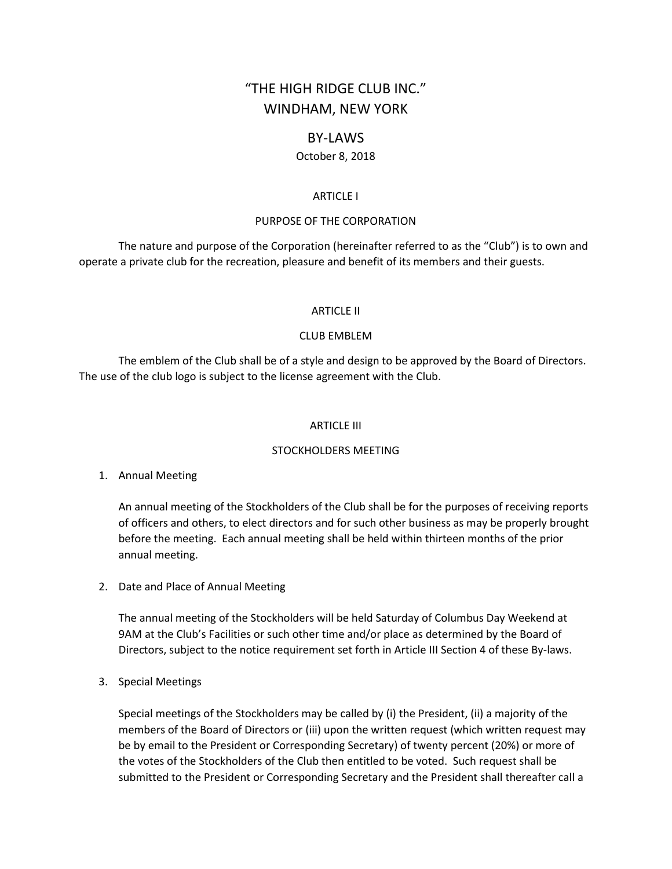# "THE HIGH RIDGE CLUB INC." WINDHAM, NEW YORK

# BY-LAWS

# October 8, 2018

#### ARTICLE I

#### PURPOSE OF THE CORPORATION

The nature and purpose of the Corporation (hereinafter referred to as the "Club") is to own and operate a private club for the recreation, pleasure and benefit of its members and their guests.

#### ARTICLE II

#### CLUB EMBLEM

The emblem of the Club shall be of a style and design to be approved by the Board of Directors. The use of the club logo is subject to the license agreement with the Club.

#### ARTICLE III

#### STOCKHOLDERS MEETING

#### 1. Annual Meeting

An annual meeting of the Stockholders of the Club shall be for the purposes of receiving reports of officers and others, to elect directors and for such other business as may be properly brought before the meeting. Each annual meeting shall be held within thirteen months of the prior annual meeting.

2. Date and Place of Annual Meeting

The annual meeting of the Stockholders will be held Saturday of Columbus Day Weekend at 9AM at the Club's Facilities or such other time and/or place as determined by the Board of Directors, subject to the notice requirement set forth in Article III Section 4 of these By-laws.

3. Special Meetings

Special meetings of the Stockholders may be called by (i) the President, (ii) a majority of the members of the Board of Directors or (iii) upon the written request (which written request may be by email to the President or Corresponding Secretary) of twenty percent (20%) or more of the votes of the Stockholders of the Club then entitled to be voted. Such request shall be submitted to the President or Corresponding Secretary and the President shall thereafter call a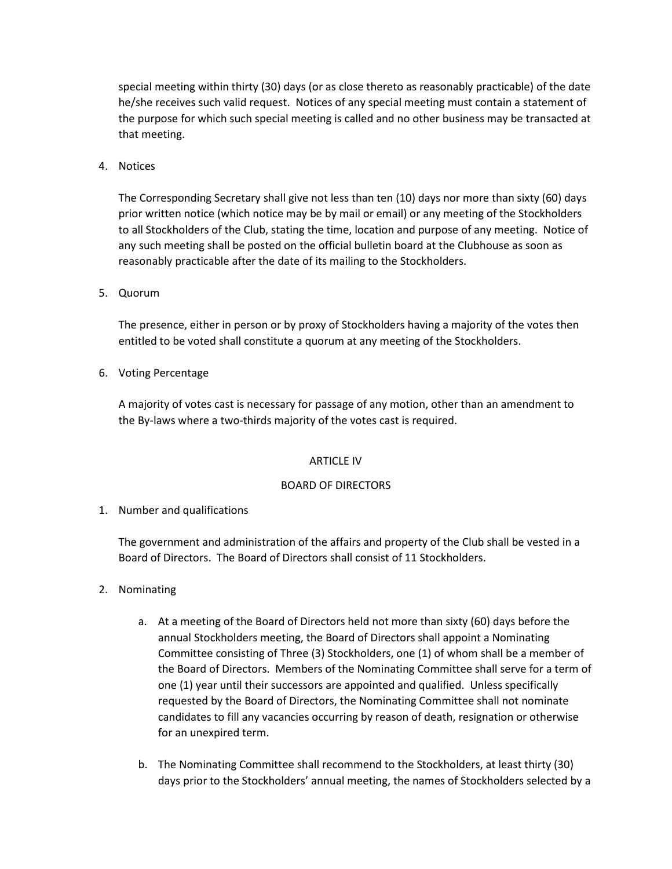special meeting within thirty (30) days (or as close thereto as reasonably practicable) of the date he/she receives such valid request. Notices of any special meeting must contain a statement of the purpose for which such special meeting is called and no other business may be transacted at that meeting.

4. Notices

The Corresponding Secretary shall give not less than ten (10) days nor more than sixty (60) days prior written notice (which notice may be by mail or email) or any meeting of the Stockholders to all Stockholders of the Club, stating the time, location and purpose of any meeting. Notice of any such meeting shall be posted on the official bulletin board at the Clubhouse as soon as reasonably practicable after the date of its mailing to the Stockholders.

5. Quorum

The presence, either in person or by proxy of Stockholders having a majority of the votes then entitled to be voted shall constitute a quorum at any meeting of the Stockholders.

6. Voting Percentage

A majority of votes cast is necessary for passage of any motion, other than an amendment to the By-laws where a two-thirds majority of the votes cast is required.

# ARTICLE IV

# BOARD OF DIRECTORS

1. Number and qualifications

The government and administration of the affairs and property of the Club shall be vested in a Board of Directors. The Board of Directors shall consist of 11 Stockholders.

- 2. Nominating
	- a. At a meeting of the Board of Directors held not more than sixty (60) days before the annual Stockholders meeting, the Board of Directors shall appoint a Nominating Committee consisting of Three (3) Stockholders, one (1) of whom shall be a member of the Board of Directors. Members of the Nominating Committee shall serve for a term of one (1) year until their successors are appointed and qualified. Unless specifically requested by the Board of Directors, the Nominating Committee shall not nominate candidates to fill any vacancies occurring by reason of death, resignation or otherwise for an unexpired term.
	- b. The Nominating Committee shall recommend to the Stockholders, at least thirty (30) days prior to the Stockholders' annual meeting, the names of Stockholders selected by a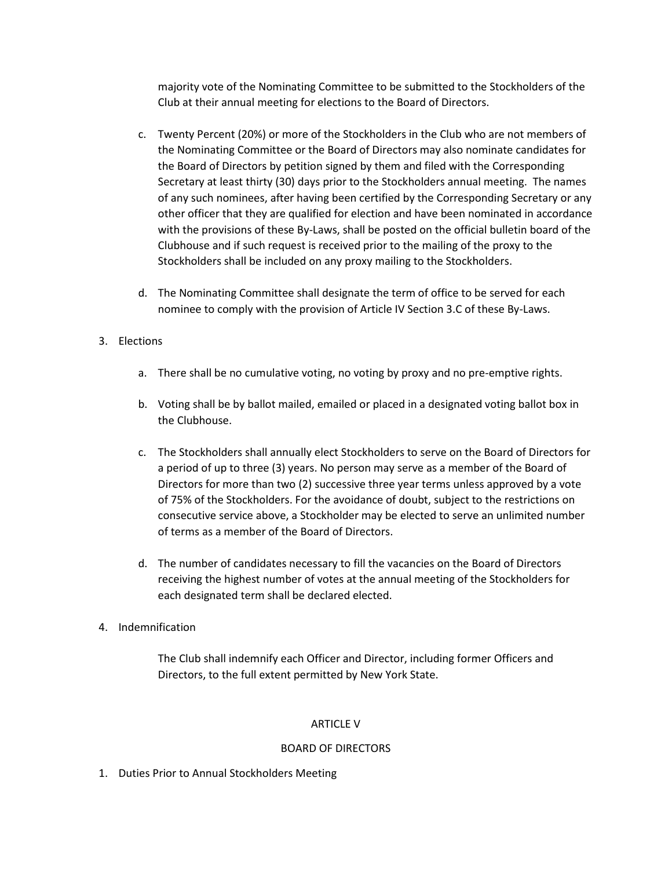majority vote of the Nominating Committee to be submitted to the Stockholders of the Club at their annual meeting for elections to the Board of Directors.

- c. Twenty Percent (20%) or more of the Stockholders in the Club who are not members of the Nominating Committee or the Board of Directors may also nominate candidates for the Board of Directors by petition signed by them and filed with the Corresponding Secretary at least thirty (30) days prior to the Stockholders annual meeting. The names of any such nominees, after having been certified by the Corresponding Secretary or any other officer that they are qualified for election and have been nominated in accordance with the provisions of these By-Laws, shall be posted on the official bulletin board of the Clubhouse and if such request is received prior to the mailing of the proxy to the Stockholders shall be included on any proxy mailing to the Stockholders.
- d. The Nominating Committee shall designate the term of office to be served for each nominee to comply with the provision of Article IV Section 3.C of these By-Laws.

# 3. Elections

- a. There shall be no cumulative voting, no voting by proxy and no pre-emptive rights.
- b. Voting shall be by ballot mailed, emailed or placed in a designated voting ballot box in the Clubhouse.
- c. The Stockholders shall annually elect Stockholders to serve on the Board of Directors for a period of up to three (3) years. No person may serve as a member of the Board of Directors for more than two (2) successive three year terms unless approved by a vote of 75% of the Stockholders. For the avoidance of doubt, subject to the restrictions on consecutive service above, a Stockholder may be elected to serve an unlimited number of terms as a member of the Board of Directors.
- d. The number of candidates necessary to fill the vacancies on the Board of Directors receiving the highest number of votes at the annual meeting of the Stockholders for each designated term shall be declared elected.
- 4. Indemnification

The Club shall indemnify each Officer and Director, including former Officers and Directors, to the full extent permitted by New York State.

# ARTICLE V

# BOARD OF DIRECTORS

1. Duties Prior to Annual Stockholders Meeting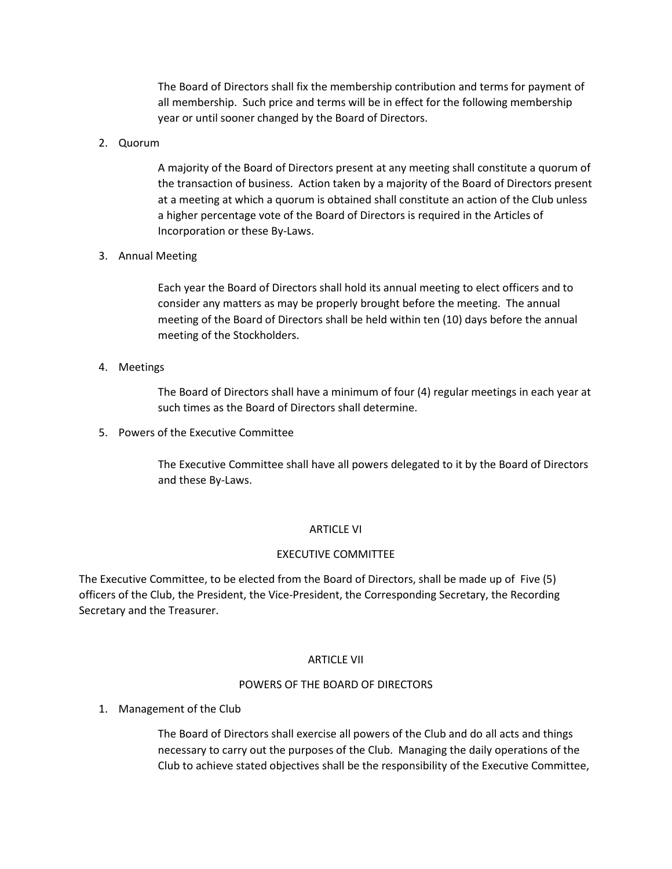The Board of Directors shall fix the membership contribution and terms for payment of all membership. Such price and terms will be in effect for the following membership year or until sooner changed by the Board of Directors.

# 2. Quorum

A majority of the Board of Directors present at any meeting shall constitute a quorum of the transaction of business. Action taken by a majority of the Board of Directors present at a meeting at which a quorum is obtained shall constitute an action of the Club unless a higher percentage vote of the Board of Directors is required in the Articles of Incorporation or these By-Laws.

### 3. Annual Meeting

Each year the Board of Directors shall hold its annual meeting to elect officers and to consider any matters as may be properly brought before the meeting. The annual meeting of the Board of Directors shall be held within ten (10) days before the annual meeting of the Stockholders.

#### 4. Meetings

The Board of Directors shall have a minimum of four (4) regular meetings in each year at such times as the Board of Directors shall determine.

5. Powers of the Executive Committee

The Executive Committee shall have all powers delegated to it by the Board of Directors and these By-Laws.

#### ARTICLE VI

#### EXECUTIVE COMMITTEE

The Executive Committee, to be elected from the Board of Directors, shall be made up of Five (5) officers of the Club, the President, the Vice-President, the Corresponding Secretary, the Recording Secretary and the Treasurer.

#### ARTICLE VII

#### POWERS OF THE BOARD OF DIRECTORS

1. Management of the Club

The Board of Directors shall exercise all powers of the Club and do all acts and things necessary to carry out the purposes of the Club. Managing the daily operations of the Club to achieve stated objectives shall be the responsibility of the Executive Committee,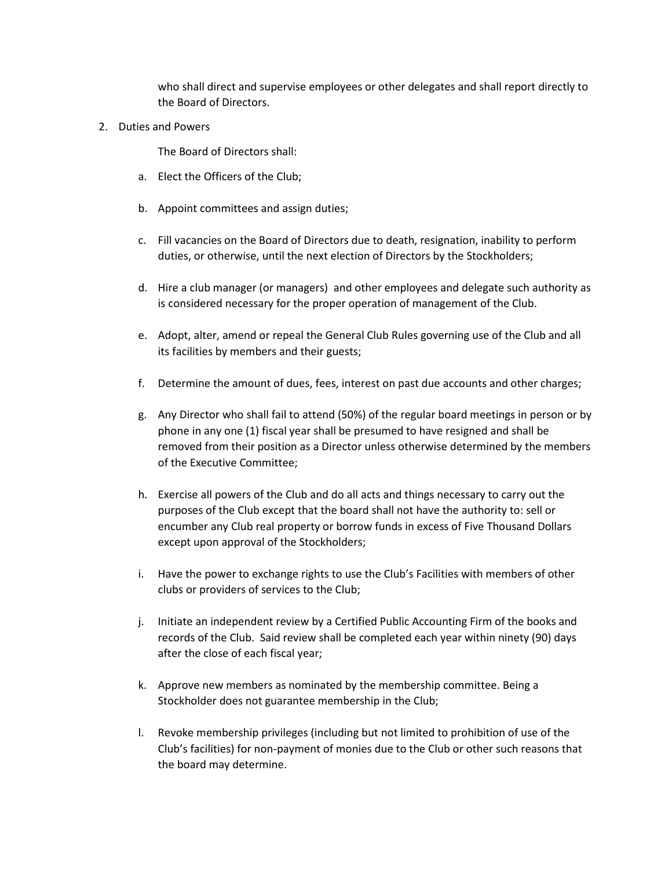who shall direct and supervise employees or other delegates and shall report directly to the Board of Directors.

2. Duties and Powers

The Board of Directors shall:

- a. Elect the Officers of the Club;
- b. Appoint committees and assign duties;
- c. Fill vacancies on the Board of Directors due to death, resignation, inability to perform duties, or otherwise, until the next election of Directors by the Stockholders;
- d. Hire a club manager (or managers) and other employees and delegate such authority as is considered necessary for the proper operation of management of the Club.
- e. Adopt, alter, amend or repeal the General Club Rules governing use of the Club and all its facilities by members and their guests;
- f. Determine the amount of dues, fees, interest on past due accounts and other charges;
- g. Any Director who shall fail to attend (50%) of the regular board meetings in person or by phone in any one (1) fiscal year shall be presumed to have resigned and shall be removed from their position as a Director unless otherwise determined by the members of the Executive Committee;
- h. Exercise all powers of the Club and do all acts and things necessary to carry out the purposes of the Club except that the board shall not have the authority to: sell or encumber any Club real property or borrow funds in excess of Five Thousand Dollars except upon approval of the Stockholders;
- i. Have the power to exchange rights to use the Club's Facilities with members of other clubs or providers of services to the Club;
- j. Initiate an independent review by a Certified Public Accounting Firm of the books and records of the Club. Said review shall be completed each year within ninety (90) days after the close of each fiscal year;
- k. Approve new members as nominated by the membership committee. Being a Stockholder does not guarantee membership in the Club;
- l. Revoke membership privileges (including but not limited to prohibition of use of the Club's facilities) for non-payment of monies due to the Club or other such reasons that the board may determine.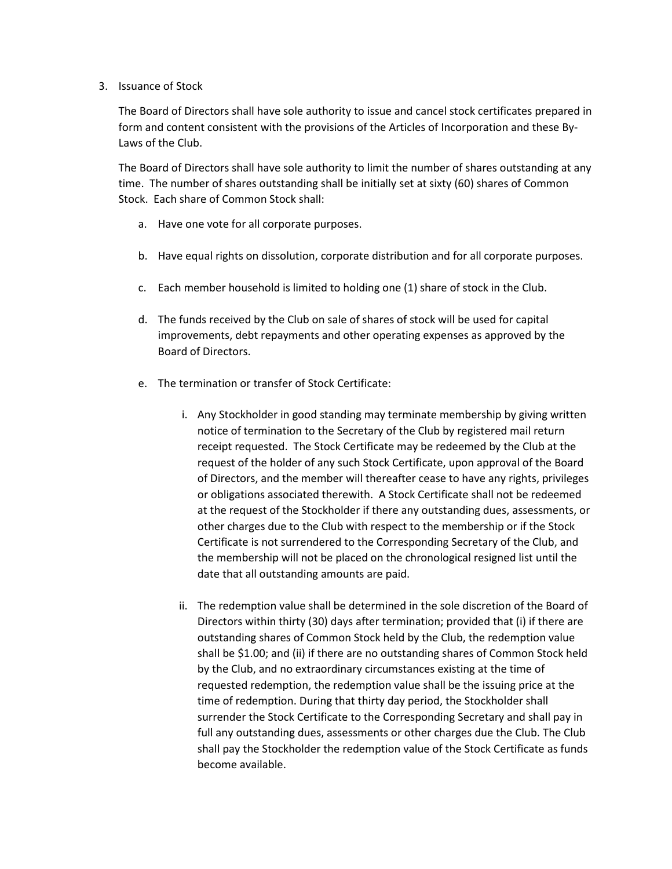### 3. Issuance of Stock

The Board of Directors shall have sole authority to issue and cancel stock certificates prepared in form and content consistent with the provisions of the Articles of Incorporation and these By-Laws of the Club.

The Board of Directors shall have sole authority to limit the number of shares outstanding at any time. The number of shares outstanding shall be initially set at sixty (60) shares of Common Stock. Each share of Common Stock shall:

- a. Have one vote for all corporate purposes.
- b. Have equal rights on dissolution, corporate distribution and for all corporate purposes.
- c. Each member household is limited to holding one (1) share of stock in the Club.
- d. The funds received by the Club on sale of shares of stock will be used for capital improvements, debt repayments and other operating expenses as approved by the Board of Directors.
- e. The termination or transfer of Stock Certificate:
	- i. Any Stockholder in good standing may terminate membership by giving written notice of termination to the Secretary of the Club by registered mail return receipt requested. The Stock Certificate may be redeemed by the Club at the request of the holder of any such Stock Certificate, upon approval of the Board of Directors, and the member will thereafter cease to have any rights, privileges or obligations associated therewith. A Stock Certificate shall not be redeemed at the request of the Stockholder if there any outstanding dues, assessments, or other charges due to the Club with respect to the membership or if the Stock Certificate is not surrendered to the Corresponding Secretary of the Club, and the membership will not be placed on the chronological resigned list until the date that all outstanding amounts are paid.
	- ii. The redemption value shall be determined in the sole discretion of the Board of Directors within thirty (30) days after termination; provided that (i) if there are outstanding shares of Common Stock held by the Club, the redemption value shall be \$1.00; and (ii) if there are no outstanding shares of Common Stock held by the Club, and no extraordinary circumstances existing at the time of requested redemption, the redemption value shall be the issuing price at the time of redemption. During that thirty day period, the Stockholder shall surrender the Stock Certificate to the Corresponding Secretary and shall pay in full any outstanding dues, assessments or other charges due the Club. The Club shall pay the Stockholder the redemption value of the Stock Certificate as funds become available.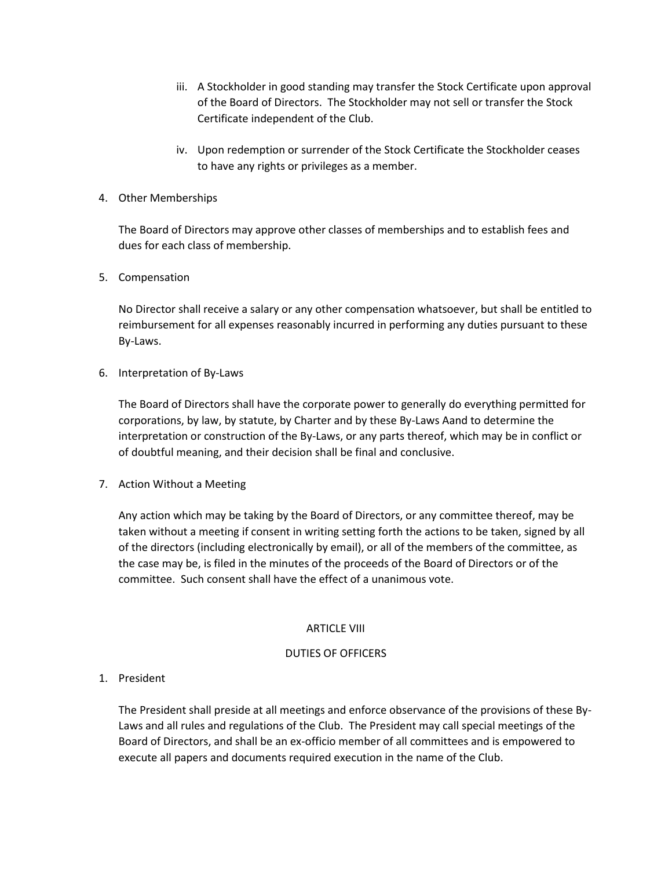- iii. A Stockholder in good standing may transfer the Stock Certificate upon approval of the Board of Directors. The Stockholder may not sell or transfer the Stock Certificate independent of the Club.
- iv. Upon redemption or surrender of the Stock Certificate the Stockholder ceases to have any rights or privileges as a member.

# 4. Other Memberships

The Board of Directors may approve other classes of memberships and to establish fees and dues for each class of membership.

# 5. Compensation

No Director shall receive a salary or any other compensation whatsoever, but shall be entitled to reimbursement for all expenses reasonably incurred in performing any duties pursuant to these By-Laws.

6. Interpretation of By-Laws

The Board of Directors shall have the corporate power to generally do everything permitted for corporations, by law, by statute, by Charter and by these By-Laws Aand to determine the interpretation or construction of the By-Laws, or any parts thereof, which may be in conflict or of doubtful meaning, and their decision shall be final and conclusive.

7. Action Without a Meeting

Any action which may be taking by the Board of Directors, or any committee thereof, may be taken without a meeting if consent in writing setting forth the actions to be taken, signed by all of the directors (including electronically by email), or all of the members of the committee, as the case may be, is filed in the minutes of the proceeds of the Board of Directors or of the committee. Such consent shall have the effect of a unanimous vote.

# ARTICLE VIII

# DUTIES OF OFFICERS

# 1. President

The President shall preside at all meetings and enforce observance of the provisions of these By-Laws and all rules and regulations of the Club. The President may call special meetings of the Board of Directors, and shall be an ex-officio member of all committees and is empowered to execute all papers and documents required execution in the name of the Club.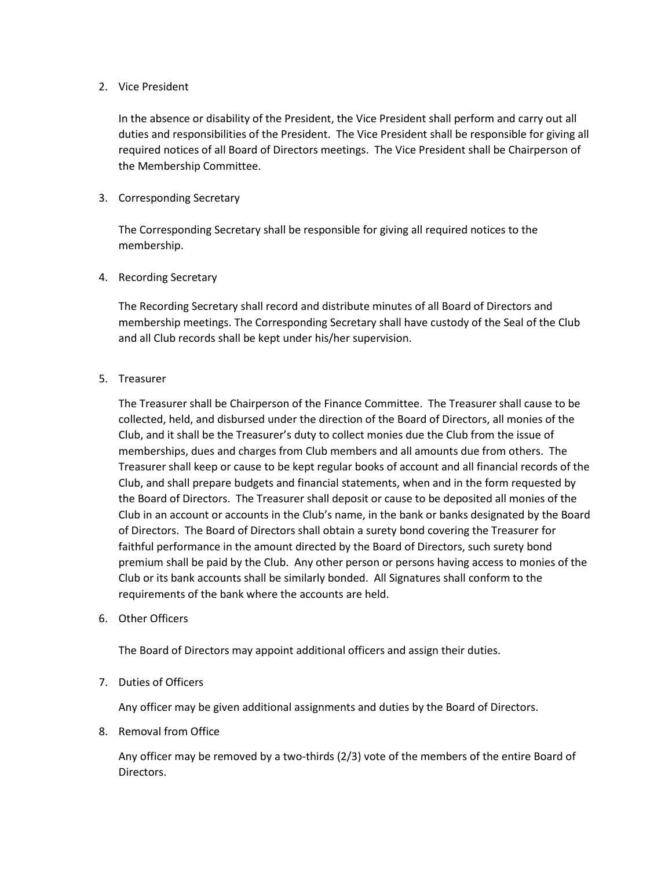# 2. Vice President

In the absence or disability of the President, the Vice President shall perform and carry out all duties and responsibilities of the President. The Vice President shall be responsible for giving all required notices of all Board of Directors meetings. The Vice President shall be Chairperson of the Membership Committee.

# 3. Corresponding Secretary

The Corresponding Secretary shall be responsible for giving all required notices to the membership.

# 4. Recording Secretary

The Recording Secretary shall record and distribute minutes of all Board of Directors and membership meetings. The Corresponding Secretary shall have custody of the Seal of the Club and all Club records shall be kept under his/her supervision.

# 5. Treasurer

The Treasurer shall be Chairperson of the Finance Committee. The Treasurer shall cause to be collected, held, and disbursed under the direction of the Board of Directors, all monies of the Club, and it shall be the Treasurer's duty to collect monies due the Club from the issue of memberships, dues and charges from Club members and all amounts due from others. The Treasurer shall keep or cause to be kept regular books of account and all financial records of the Club, and shall prepare budgets and financial statements, when and in the form requested by the Board of Directors. The Treasurer shall deposit or cause to be deposited all monies of the Club in an account or accounts in the Club's name, in the bank or banks designated by the Board of Directors. The Board of Directors shall obtain a surety bond covering the Treasurer for faithful performance in the amount directed by the Board of Directors, such surety bond premium shall be paid by the Club. Any other person or persons having access to monies of the Club or its bank accounts shall be similarly bonded. All Signatures shall conform to the requirements of the bank where the accounts are held.

6. Other Officers

The Board of Directors may appoint additional officers and assign their duties.

# 7. Duties of Officers

Any officer may be given additional assignments and duties by the Board of Directors.

8. Removal from Office

Any officer may be removed by a two-thirds (2/3) vote of the members of the entire Board of Directors.